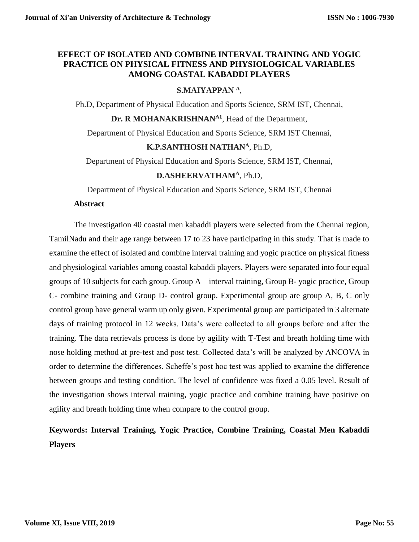# **EFFECT OF ISOLATED AND COMBINE INTERVAL TRAINING AND YOGIC PRACTICE ON PHYSICAL FITNESS AND PHYSIOLOGICAL VARIABLES AMONG COASTAL KABADDI PLAYERS**

# **S.MAIYAPPAN <sup>A</sup>**,

Ph.D, Department of Physical Education and Sports Science, SRM IST, Chennai,

**Dr. R MOHANAKRISHNANA1**, Head of the Department,

Department of Physical Education and Sports Science, SRM IST Chennai,

## **K.P.SANTHOSH NATHAN<sup>A</sup>**, Ph.D,

Department of Physical Education and Sports Science, SRM IST, Chennai,

# **D.ASHEERVATHAM<sup>A</sup>**, Ph.D,

Department of Physical Education and Sports Science, SRM IST, Chennai

#### **Abstract**

The investigation 40 coastal men kabaddi players were selected from the Chennai region, TamilNadu and their age range between 17 to 23 have participating in this study. That is made to examine the effect of isolated and combine interval training and yogic practice on physical fitness and physiological variables among coastal kabaddi players. Players were separated into four equal groups of 10 subjects for each group. Group A – interval training, Group B- yogic practice, Group C- combine training and Group D- control group. Experimental group are group A, B, C only control group have general warm up only given. Experimental group are participated in 3 alternate days of training protocol in 12 weeks. Data's were collected to all groups before and after the training. The data retrievals process is done by agility with T-Test and breath holding time with nose holding method at pre-test and post test. Collected data's will be analyzed by ANCOVA in order to determine the differences. Scheffe's post hoc test was applied to examine the difference between groups and testing condition. The level of confidence was fixed a 0.05 level. Result of the investigation shows interval training, yogic practice and combine training have positive on agility and breath holding time when compare to the control group.

# **Keywords: Interval Training, Yogic Practice, Combine Training, Coastal Men Kabaddi Players**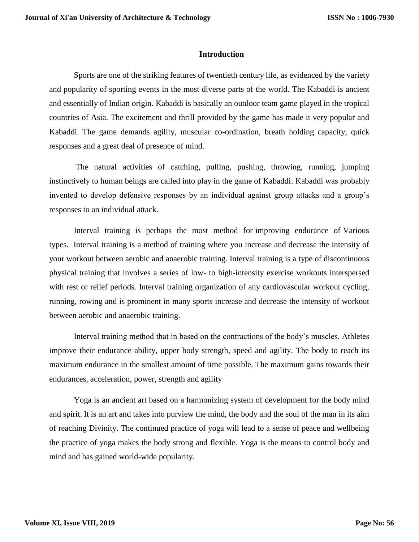#### **Introduction**

Sports are one of the striking features of twentieth century life, as evidenced by the variety and popularity of sporting events in the most diverse parts of the world. The Kabaddi is ancient and essentially of Indian origin. Kabaddi is basically an outdoor team game played in the tropical countries of Asia. The excitement and thrill provided by the game has made it very popular and Kabaddi. The game demands agility, muscular co-ordination, breath holding capacity, quick responses and a great deal of presence of mind.

The natural activities of catching, pulling, pushing, throwing, running, jumping instinctively to human beings are called into play in the game of Kabaddi. Kabaddi was probably invented to develop defensive responses by an individual against group attacks and a group's responses to an individual attack.

Interval training is perhaps the most method for improving endurance of Various types. Interval training is a method of training where you increase and decrease the intensity of your workout between aerobic and anaerobic training. Interval training is a type of discontinuous physical training that involves a series of low- to high-intensity exercise workouts interspersed with rest or relief periods. Interval training organization of any cardiovascular workout cycling, running, rowing and is prominent in many sports increase and decrease the intensity of workout between aerobic and anaerobic training.

Interval training method that in based on the contractions of the body's muscles. Athletes improve their endurance ability, upper body strength, speed and agility. The body to reach its maximum endurance in the smallest amount of time possible. The maximum gains towards their endurances, acceleration, power, strength and agility

Yoga is an ancient art based on a harmonizing system of development for the body mind and spirit. It is an art and takes into purview the mind, the body and the soul of the man in its aim of reaching Divinity. The continued practice of yoga will lead to a sense of peace and wellbeing the practice of yoga makes the body strong and flexible. Yoga is the means to control body and mind and has gained world-wide popularity.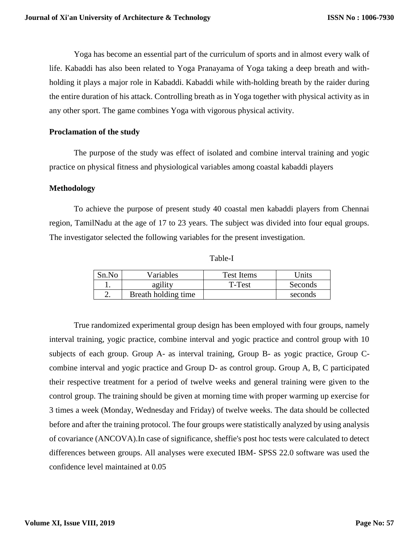Yoga has become an essential part of the curriculum of sports and in almost every walk of life. Kabaddi has also been related to Yoga Pranayama of Yoga taking a deep breath and withholding it plays a major role in Kabaddi. Kabaddi while with-holding breath by the raider during the entire duration of his attack. Controlling breath as in Yoga together with physical activity as in any other sport. The game combines Yoga with vigorous physical activity.

## **Proclamation of the study**

The purpose of the study was effect of isolated and combine interval training and yogic practice on physical fitness and physiological variables among coastal kabaddi players

## **Methodology**

To achieve the purpose of present study 40 coastal men kabaddi players from Chennai region, TamilNadu at the age of 17 to 23 years. The subject was divided into four equal groups. The investigator selected the following variables for the present investigation.

Table-I

| Sn.No | Variables           | Test Items | <b>Jnits</b> |
|-------|---------------------|------------|--------------|
|       | agility             | T-Test     | Seconds      |
| ـ.    | Breath holding time |            | seconds      |

True randomized experimental group design has been employed with four groups, namely interval training, yogic practice, combine interval and yogic practice and control group with 10 subjects of each group. Group A- as interval training, Group B- as yogic practice, Group Ccombine interval and yogic practice and Group D- as control group. Group A, B, C participated their respective treatment for a period of twelve weeks and general training were given to the control group. The training should be given at morning time with proper warming up exercise for 3 times a week (Monday, Wednesday and Friday) of twelve weeks. The data should be collected before and after the training protocol. The four groups were statistically analyzed by using analysis of covariance (ANCOVA).In case of significance, sheffie's post hoc tests were calculated to detect differences between groups. All analyses were executed IBM- SPSS 22.0 software was used the confidence level maintained at 0.05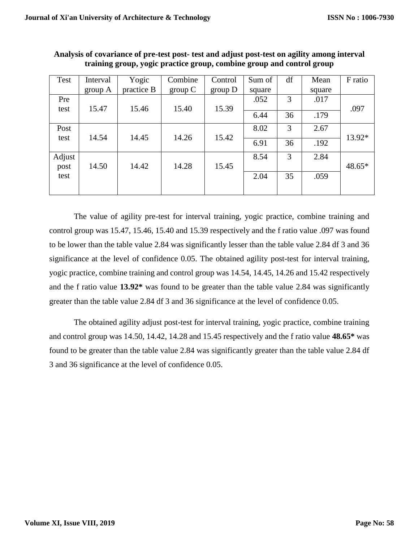| Test   | Interval | Yogic      | Combine | Control | Sum of | df | Mean   | F ratio |
|--------|----------|------------|---------|---------|--------|----|--------|---------|
|        | group A  | practice B | group C | group D | square |    | square |         |
| Pre    |          |            |         |         | .052   | 3  | .017   |         |
| test   | 15.47    | 15.46      | 15.40   | 15.39   |        |    |        | .097    |
|        |          |            |         |         | 6.44   | 36 | .179   |         |
| Post   |          |            |         |         | 8.02   | 3  | 2.67   |         |
| test   | 14.54    | 14.45      | 14.26   | 15.42   |        |    |        | 13.92*  |
|        |          |            |         |         | 6.91   | 36 | .192   |         |
| Adjust |          |            |         |         | 8.54   | 3  | 2.84   |         |
| post   | 14.50    | 14.42      | 14.28   | 15.45   |        |    |        | 48.65*  |
| test   |          |            |         |         | 2.04   | 35 | .059   |         |
|        |          |            |         |         |        |    |        |         |

**Analysis of covariance of pre-test post- test and adjust post-test on agility among interval training group, yogic practice group, combine group and control group**

The value of agility pre-test for interval training, yogic practice, combine training and control group was 15.47, 15.46, 15.40 and 15.39 respectively and the f ratio value .097 was found to be lower than the table value 2.84 was significantly lesser than the table value 2.84 df 3 and 36 significance at the level of confidence 0.05. The obtained agility post-test for interval training, yogic practice, combine training and control group was 14.54, 14.45, 14.26 and 15.42 respectively and the f ratio value **13.92\*** was found to be greater than the table value 2.84 was significantly greater than the table value 2.84 df 3 and 36 significance at the level of confidence 0.05.

The obtained agility adjust post-test for interval training, yogic practice, combine training and control group was 14.50, 14.42, 14.28 and 15.45 respectively and the f ratio value **48.65\*** was found to be greater than the table value 2.84 was significantly greater than the table value 2.84 df 3 and 36 significance at the level of confidence 0.05.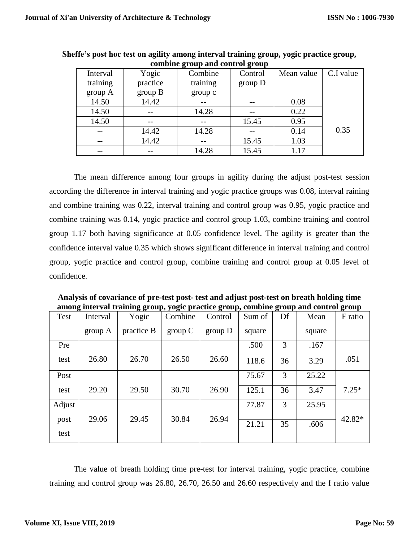| Interval | Yogic    | Combine  | Control | Mean value | C.I value |
|----------|----------|----------|---------|------------|-----------|
| training | practice | training | group D |            |           |
| group A  | group B  | group c  |         |            |           |
| 14.50    | 14.42    |          |         | 0.08       |           |
| 14.50    | --       | 14.28    |         | 0.22       |           |
| 14.50    |          |          | 15.45   | 0.95       |           |
|          | 14.42    | 14.28    |         | 0.14       | 0.35      |
|          | 14.42    |          | 15.45   | 1.03       |           |
|          | --       | 14.28    | 15.45   | 1.17       |           |

**Sheffe's post hoc test on agility among interval training group, yogic practice group, combine group and control group**

The mean difference among four groups in agility during the adjust post-test session according the difference in interval training and yogic practice groups was 0.08, interval raining and combine training was 0.22, interval training and control group was 0.95, yogic practice and combine training was 0.14, yogic practice and control group 1.03, combine training and control group 1.17 both having significance at 0.05 confidence level. The agility is greater than the confidence interval value 0.35 which shows significant difference in interval training and control group, yogic practice and control group, combine training and control group at 0.05 level of confidence.

| among mterval trammig group, yogic practice group, combine group and control group |          |            |         |         |        |    |        |         |
|------------------------------------------------------------------------------------|----------|------------|---------|---------|--------|----|--------|---------|
| Test                                                                               | Interval | Yogic      | Combine | Control | Sum of | Df | Mean   | F ratio |
|                                                                                    | group A  | practice B | group C | group D | square |    | square |         |
| Pre                                                                                |          |            |         |         | .500   | 3  | .167   |         |
| test                                                                               | 26.80    | 26.70      | 26.50   | 26.60   | 118.6  | 36 | 3.29   | .051    |
| Post                                                                               |          |            |         |         | 75.67  | 3  | 25.22  |         |
| test                                                                               | 29.20    | 29.50      | 30.70   | 26.90   | 125.1  | 36 | 3.47   | $7.25*$ |
| Adjust                                                                             |          |            |         |         | 77.87  | 3  | 25.95  |         |
| post<br>test                                                                       | 29.06    | 29.45      | 30.84   | 26.94   | 21.21  | 35 | .606   | 42.82*  |
|                                                                                    |          |            |         |         |        |    |        |         |

**Analysis of covariance of pre-test post- test and adjust post-test on breath holding time among interval training group, yogic practice group, combine group and control group**

The value of breath holding time pre-test for interval training, yogic practice, combine training and control group was 26.80, 26.70, 26.50 and 26.60 respectively and the f ratio value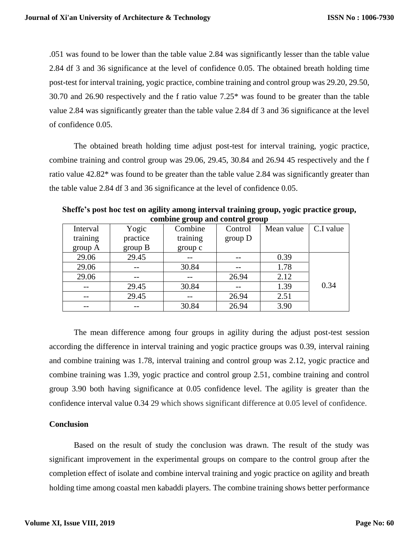.051 was found to be lower than the table value 2.84 was significantly lesser than the table value 2.84 df 3 and 36 significance at the level of confidence 0.05. The obtained breath holding time post-test for interval training, yogic practice, combine training and control group was 29.20, 29.50, 30.70 and 26.90 respectively and the f ratio value 7.25\* was found to be greater than the table value 2.84 was significantly greater than the table value 2.84 df 3 and 36 significance at the level of confidence 0.05.

The obtained breath holding time adjust post-test for interval training, yogic practice, combine training and control group was 29.06, 29.45, 30.84 and 26.94 45 respectively and the f ratio value 42.82\* was found to be greater than the table value 2.84 was significantly greater than the table value 2.84 df 3 and 36 significance at the level of confidence 0.05.

| company group and control group |          |          |         |            |           |  |  |
|---------------------------------|----------|----------|---------|------------|-----------|--|--|
| Interval                        | Yogic    | Combine  | Control | Mean value | C.I value |  |  |
| training                        | practice | training | group D |            |           |  |  |
| group A                         | group B  | group c  |         |            |           |  |  |
| 29.06                           | 29.45    |          |         | 0.39       |           |  |  |
| 29.06                           |          | 30.84    |         | 1.78       |           |  |  |
| 29.06                           |          |          | 26.94   | 2.12       |           |  |  |
|                                 | 29.45    | 30.84    |         | 1.39       | 0.34      |  |  |
| --                              | 29.45    |          | 26.94   | 2.51       |           |  |  |
|                                 |          | 30.84    | 26.94   | 3.90       |           |  |  |

**Sheffe's post hoc test on agility among interval training group, yogic practice group, combine group and control group**

The mean difference among four groups in agility during the adjust post-test session according the difference in interval training and yogic practice groups was 0.39, interval raining and combine training was 1.78, interval training and control group was 2.12, yogic practice and combine training was 1.39, yogic practice and control group 2.51, combine training and control group 3.90 both having significance at 0.05 confidence level. The agility is greater than the confidence interval value 0.34 29 which shows significant difference at 0.05 level of confidence.

#### **Conclusion**

Based on the result of study the conclusion was drawn. The result of the study was significant improvement in the experimental groups on compare to the control group after the completion effect of isolate and combine interval training and yogic practice on agility and breath holding time among coastal men kabaddi players. The combine training shows better performance